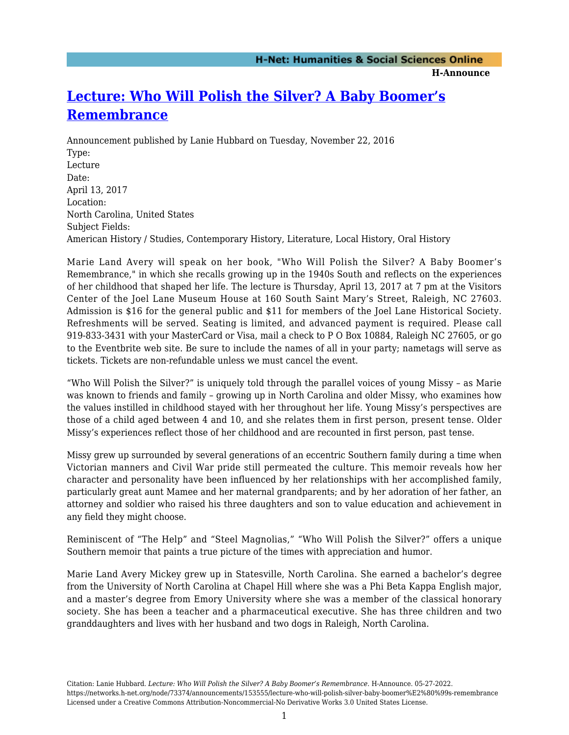**H-Announce** 

## **[Lecture: Who Will Polish the Silver? A Baby Boomer's](https://networks.h-net.org/node/73374/announcements/153555/lecture-who-will-polish-silver-baby-boomer%E2%80%99s-remembrance) [Remembrance](https://networks.h-net.org/node/73374/announcements/153555/lecture-who-will-polish-silver-baby-boomer%E2%80%99s-remembrance)**

Announcement published by Lanie Hubbard on Tuesday, November 22, 2016 Type: Lecture Date: April 13, 2017 Location: North Carolina, United States Subject Fields: American History / Studies, Contemporary History, Literature, Local History, Oral History

Marie Land Avery will speak on her book, "Who Will Polish the Silver? A Baby Boomer's Remembrance," in which she recalls growing up in the 1940s South and reflects on the experiences of her childhood that shaped her life. The lecture is Thursday, April 13, 2017 at 7 pm at the Visitors Center of the Joel Lane Museum House at 160 South Saint Mary's Street, Raleigh, NC 27603. Admission is \$16 for the general public and \$11 for members of the Joel Lane Historical Society. Refreshments will be served. Seating is limited, and advanced payment is required. Please call 919-833-3431 with your MasterCard or Visa, mail a check to P O Box 10884, Raleigh NC 27605, or go to the Eventbrite web site. Be sure to include the names of all in your party; nametags will serve as tickets. Tickets are non-refundable unless we must cancel the event.

"Who Will Polish the Silver?" is uniquely told through the parallel voices of young Missy – as Marie was known to friends and family – growing up in North Carolina and older Missy, who examines how the values instilled in childhood stayed with her throughout her life. Young Missy's perspectives are those of a child aged between 4 and 10, and she relates them in first person, present tense. Older Missy's experiences reflect those of her childhood and are recounted in first person, past tense.

Missy grew up surrounded by several generations of an eccentric Southern family during a time when Victorian manners and Civil War pride still permeated the culture. This memoir reveals how her character and personality have been influenced by her relationships with her accomplished family, particularly great aunt Mamee and her maternal grandparents; and by her adoration of her father, an attorney and soldier who raised his three daughters and son to value education and achievement in any field they might choose.

Reminiscent of "The Help" and "Steel Magnolias," "Who Will Polish the Silver?" offers a unique Southern memoir that paints a true picture of the times with appreciation and humor.

Marie Land Avery Mickey grew up in Statesville, North Carolina. She earned a bachelor's degree from the University of North Carolina at Chapel Hill where she was a Phi Beta Kappa English major, and a master's degree from Emory University where she was a member of the classical honorary society. She has been a teacher and a pharmaceutical executive. She has three children and two granddaughters and lives with her husband and two dogs in Raleigh, North Carolina.